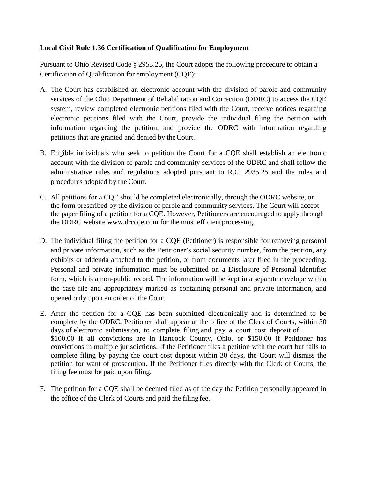## **Local Civil Rule 1.36 Certification of Qualification for Employment**

Pursuant to Ohio Revised Code § 2953.25, the Court adopts the following procedure to obtain a Certification of Qualification for employment (CQE):

- A. The Court has established an electronic account with the division of parole and community services of the Ohio Department of Rehabilitation and Correction (ODRC) to access the CQE system, review completed electronic petitions filed with the Court, receive notices regarding electronic petitions filed with the Court, provide the individual filing the petition with information regarding the petition, and provide the ODRC with information regarding petitions that are granted and denied by theCourt.
- B. Eligible individuals who seek to petition the Court for a CQE shall establish an electronic account with the division of parole and community services of the ODRC and shall follow the administrative rules and regulations adopted pursuant to R.C. 2935.25 and the rules and procedures adopted by the Court.
- C. All petitions for a CQE should be completed electronically, through the ODRC website, on the form prescribed by the division of parole and community services. The Court will accept the paper filing of a petition for a CQE. However, Petitioners are encouraged to apply through the ODRC website www.drccqe.com for the most efficientprocessing.
- D. The individual filing the petition for a CQE (Petitioner) is responsible for removing personal and private information, such as the Petitioner's social security number, from the petition, any exhibits or addenda attached to the petition, or from documents later filed in the proceeding. Personal and private information must be submitted on a Disclosure of Personal Identifier form, which is a non-public record. The information will be kept in a separate envelope within the case file and appropriately marked as containing personal and private information, and opened only upon an order of the Court.
- E. After the petition for a CQE has been submitted electronically and is determined to be complete by the ODRC, Petitioner shall appear at the office of the Clerk of Courts, within 30 days of electronic submission, to complete filing and pay a court cost deposit of \$100.00 if all convictions are in Hancock County, Ohio, or \$150.00 if Petitioner has convictions in multiple jurisdictions. If the Petitioner files a petition with the court but fails to complete filing by paying the court cost deposit within 30 days, the Court will dismiss the petition for want of prosecution. If the Petitioner files directly with the Clerk of Courts, the filing fee must be paid upon filing.
- F. The petition for a CQE shall be deemed filed as of the day the Petition personally appeared in the office of the Clerk of Courts and paid the filing fee.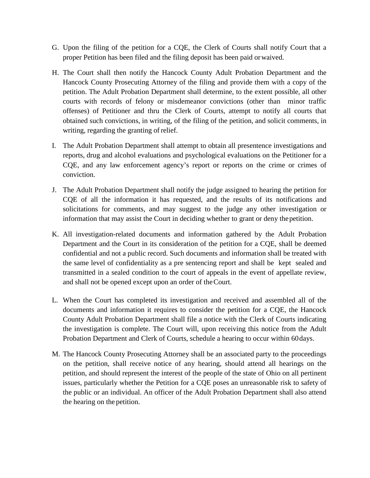- G. Upon the filing of the petition for a CQE, the Clerk of Courts shall notify Court that a proper Petition has been filed and the filing deposit has been paid orwaived.
- H. The Court shall then notify the Hancock County Adult Probation Department and the Hancock County Prosecuting Attorney of the filing and provide them with a copy of the petition. The Adult Probation Department shall determine, to the extent possible, all other courts with records of felony or misdemeanor convictions (other than minor traffic offenses) of Petitioner and thru the Clerk of Courts, attempt to notify all courts that obtained such convictions, in writing, of the filing of the petition, and solicit comments, in writing, regarding the granting of relief.
- I. The Adult Probation Department shall attempt to obtain all presentence investigations and reports, drug and alcohol evaluations and psychological evaluations on the Petitioner for a CQE, and any law enforcement agency's report or reports on the crime or crimes of conviction.
- J. The Adult Probation Department shall notify the judge assigned to hearing the petition for CQE of all the information it has requested, and the results of its notifications and solicitations for comments, and may suggest to the judge any other investigation or information that may assist the Court in deciding whether to grant or deny thepetition.
- K. All investigation-related documents and information gathered by the Adult Probation Department and the Court in its consideration of the petition for a CQE, shall be deemed confidential and not a public record. Such documents and information shall be treated with the same level of confidentiality as a pre sentencing report and shall be kept sealed and transmitted in a sealed condition to the court of appeals in the event of appellate review, and shall not be opened except upon an order of theCourt.
- L. When the Court has completed its investigation and received and assembled all of the documents and information it requires to consider the petition for a CQE, the Hancock County Adult Probation Department shall file a notice with the Clerk of Courts indicating the investigation is complete. The Court will, upon receiving this notice from the Adult Probation Department and Clerk of Courts, schedule a hearing to occur within 60days.
- M. The Hancock County Prosecuting Attorney shall be an associated party to the proceedings on the petition, shall receive notice of any hearing, should attend all hearings on the petition, and should represent the interest of the people of the state of Ohio on all pertinent issues, particularly whether the Petition for a CQE poses an unreasonable risk to safety of the public or an individual. An officer of the Adult Probation Department shall also attend the hearing on the petition.